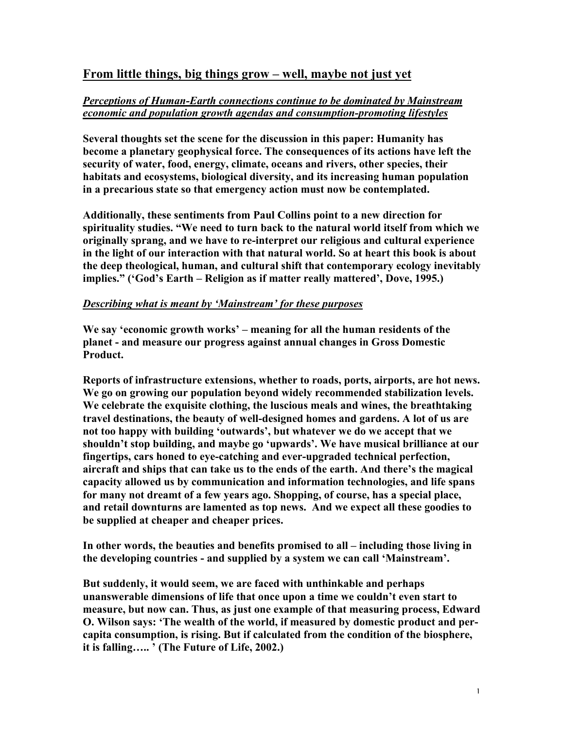# From little things, big things grow – well, maybe not just yet

# *Perceptions of Human-Earth connections continue to be dominated by Mainstream economic and population growth agendas and consumption-promoting lifestyles*

Several thoughts set the scene for the discussion in this paper: Humanity has become a planetary geophysical force. The consequences of its actions have left the security of water, food, energy, climate, oceans and rivers, other species, their habitats and ecosystems, biological diversity, and its increasing human population in a precarious state so that emergency action must now be contemplated.

Additionally, these sentiments from Paul Collins point to a new direction for spirituality studies. "We need to turn back to the natural world itself from which we originally sprang, and we have to re-interpret our religious and cultural experience in the light of our interaction with that natural world. So at heart this book is about the deep theological, human, and cultural shift that contemporary ecology inevitably implies." ('God's Earth – Religion as if matter really mattered', Dove, 1995.)

#### *Describing what is meant by 'Mainstream' for these purposes*

We say 'economic growth works' – meaning for all the human residents of the planet - and measure our progress against annual changes in Gross Domestic Product.

Reports of infrastructure extensions, whether to roads, ports, airports, are hot news. We go on growing our population beyond widely recommended stabilization levels. We celebrate the exquisite clothing, the luscious meals and wines, the breathtaking travel destinations, the beauty of well-designed homes and gardens. A lot of us are not too happy with building 'outwards', but whatever we do we accept that we shouldn't stop building, and maybe go 'upwards'. We have musical brilliance at our fingertips, cars honed to eye-catching and ever-upgraded technical perfection, aircraft and ships that can take us to the ends of the earth. And there's the magical capacity allowed us by communication and information technologies, and life spans for many not dreamt of a few years ago. Shopping, of course, has a special place, and retail downturns are lamented as top news. And we expect all these goodies to be supplied at cheaper and cheaper prices.

In other words, the beauties and benefits promised to all – including those living in the developing countries - and supplied by a system we can call 'Mainstream'.

But suddenly, it would seem, we are faced with unthinkable and perhaps unanswerable dimensions of life that once upon a time we couldn't even start to measure, but now can. Thus, as just one example of that measuring process, Edward O. Wilson says: 'The wealth of the world, if measured by domestic product and percapita consumption, is rising. But if calculated from the condition of the biosphere, it is falling….. ' (The Future of Life, 2002.)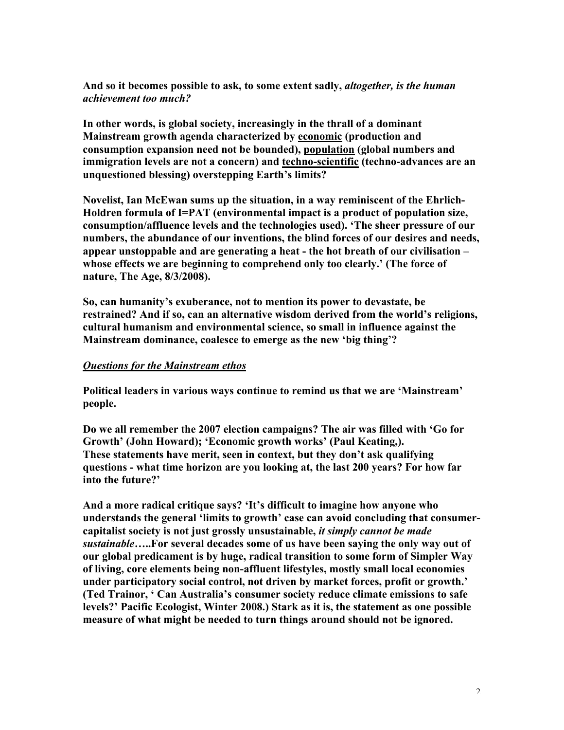And so it becomes possible to ask, to some extent sadly, *altogether, is the human achievement too much?*

In other words, is global society, increasingly in the thrall of a dominant Mainstream growth agenda characterized by economic (production and consumption expansion need not be bounded), population (global numbers and immigration levels are not a concern) and techno-scientific (techno-advances are an unquestioned blessing) overstepping Earth's limits?

Novelist, Ian McEwan sums up the situation, in a way reminiscent of the Ehrlich-Holdren formula of I=PAT (environmental impact is a product of population size, consumption/affluence levels and the technologies used). 'The sheer pressure of our numbers, the abundance of our inventions, the blind forces of our desires and needs, appear unstoppable and are generating a heat - the hot breath of our civilisation – whose effects we are beginning to comprehend only too clearly.' (The force of nature, The Age, 8/3/2008).

So, can humanity's exuberance, not to mention its power to devastate, be restrained? And if so, can an alternative wisdom derived from the world's religions, cultural humanism and environmental science, so small in influence against the Mainstream dominance, coalesce to emerge as the new 'big thing'?

#### *Questions for the Mainstream ethos*

Political leaders in various ways continue to remind us that we are 'Mainstream' people.

Do we all remember the 2007 election campaigns? The air was filled with 'Go for Growth' (John Howard); 'Economic growth works' (Paul Keating,). These statements have merit, seen in context, but they don't ask qualifying questions - what time horizon are you looking at, the last 200 years? For how far into the future?'

And a more radical critique says? 'It's difficult to imagine how anyone who understands the general 'limits to growth' case can avoid concluding that consumercapitalist society is not just grossly unsustainable, *it simply cannot be made sustainable…*..For several decades some of us have been saying the only way out of our global predicament is by huge, radical transition to some form of Simpler Way of living, core elements being non-affluent lifestyles, mostly small local economies under participatory social control, not driven by market forces, profit or growth.' (Ted Trainor, ' Can Australia's consumer society reduce climate emissions to safe levels?' Pacific Ecologist, Winter 2008.) Stark as it is, the statement as one possible measure of what might be needed to turn things around should not be ignored.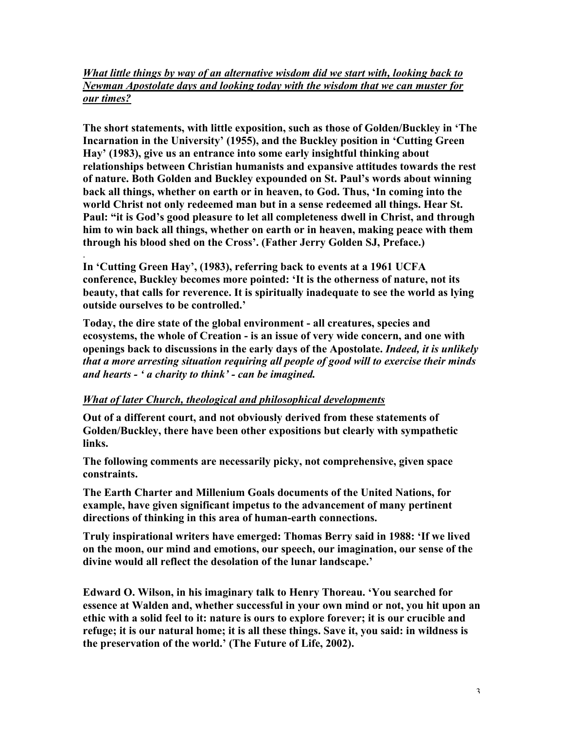# *What little things by way of an alternative wisdom did we start with, looking back to Newman Apostolate days and looking today with the wisdom that we can muster for our times?*

The short statements, with little exposition, such as those of Golden/Buckley in 'The Incarnation in the University' (1955), and the Buckley position in 'Cutting Green Hay' (1983), give us an entrance into some early insightful thinking about relationships between Christian humanists and expansive attitudes towards the rest of nature. Both Golden and Buckley expounded on St. Paul's words about winning back all things, whether on earth or in heaven, to God. Thus, 'In coming into the world Christ not only redeemed man but in a sense redeemed all things. Hear St. Paul: "it is God's good pleasure to let all completeness dwell in Christ, and through him to win back all things, whether on earth or in heaven, making peace with them through his blood shed on the Cross'. (Father Jerry Golden SJ, Preface.)

. In 'Cutting Green Hay', (1983), referring back to events at a 1961 UCFA conference, Buckley becomes more pointed: 'It is the otherness of nature, not its beauty, that calls for reverence. It is spiritually inadequate to see the world as lying outside ourselves to be controlled.'

Today, the dire state of the global environment - all creatures, species and ecosystems, the whole of Creation - is an issue of very wide concern, and one with openings back to discussions in the early days of the Apostolate. *Indeed, it is unlikely that a more arresting situation requiring all people of good will to exercise their minds and hearts - ' a charity to think' - can be imagined.*

# *What of later Church, theological and philosophical developments*

Out of a different court, and not obviously derived from these statements of Golden/Buckley, there have been other expositions but clearly with sympathetic links.

The following comments are necessarily picky, not comprehensive, given space constraints.

The Earth Charter and Millenium Goals documents of the United Nations, for example, have given significant impetus to the advancement of many pertinent directions of thinking in this area of human-earth connections.

Truly inspirational writers have emerged: Thomas Berry said in 1988: 'If we lived on the moon, our mind and emotions, our speech, our imagination, our sense of the divine would all reflect the desolation of the lunar landscape.'

Edward O. Wilson, in his imaginary talk to Henry Thoreau. 'You searched for essence at Walden and, whether successful in your own mind or not, you hit upon an ethic with a solid feel to it: nature is ours to explore forever; it is our crucible and refuge; it is our natural home; it is all these things. Save it, you said: in wildness is the preservation of the world.' (The Future of Life, 2002).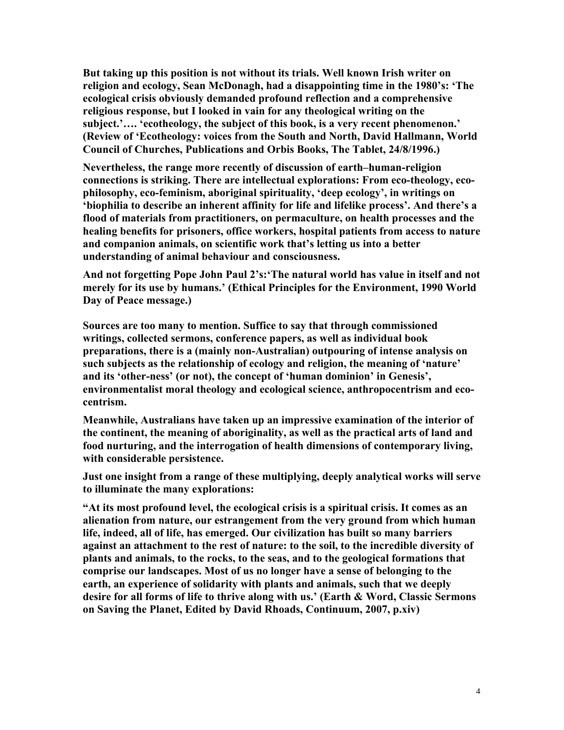But taking up this position is not without its trials. Well known Irish writer on religion and ecology, Sean McDonagh, had a disappointing time in the 1980's: 'The ecological crisis obviously demanded profound reflection and a comprehensive religious response, but I looked in vain for any theological writing on the subject.'…. 'ecotheology, the subject of this book, is a very recent phenomenon.' (Review of 'Ecotheology: voices from the South and North, David Hallmann, World Council of Churches, Publications and Orbis Books, The Tablet, 24/8/1996.)

Nevertheless, the range more recently of discussion of earth–human-religion connections is striking. There are intellectual explorations: From eco-theology, ecophilosophy, eco-feminism, aboriginal spirituality, 'deep ecology', in writings on 'biophilia to describe an inherent affinity for life and lifelike process'. And there's a flood of materials from practitioners, on permaculture, on health processes and the healing benefits for prisoners, office workers, hospital patients from access to nature and companion animals, on scientific work that's letting us into a better understanding of animal behaviour and consciousness.

And not forgetting Pope John Paul 2's:'The natural world has value in itself and not merely for its use by humans.' (Ethical Principles for the Environment, 1990 World Day of Peace message.)

Sources are too many to mention. Suffice to say that through commissioned writings, collected sermons, conference papers, as well as individual book preparations, there is a (mainly non-Australian) outpouring of intense analysis on such subjects as the relationship of ecology and religion, the meaning of 'nature' and its 'other-ness' (or not), the concept of 'human dominion' in Genesis', environmentalist moral theology and ecological science, anthropocentrism and ecocentrism.

Meanwhile, Australians have taken up an impressive examination of the interior of the continent, the meaning of aboriginality, as well as the practical arts of land and food nurturing, and the interrogation of health dimensions of contemporary living, with considerable persistence.

Just one insight from a range of these multiplying, deeply analytical works will serve to illuminate the many explorations:

"At its most profound level, the ecological crisis is a spiritual crisis. It comes as an alienation from nature, our estrangement from the very ground from which human life, indeed, all of life, has emerged. Our civilization has built so many barriers against an attachment to the rest of nature: to the soil, to the incredible diversity of plants and animals, to the rocks, to the seas, and to the geological formations that comprise our landscapes. Most of us no longer have a sense of belonging to the earth, an experience of solidarity with plants and animals, such that we deeply desire for all forms of life to thrive along with us.' (Earth & Word, Classic Sermons on Saving the Planet, Edited by David Rhoads, Continuum, 2007, p.xiv)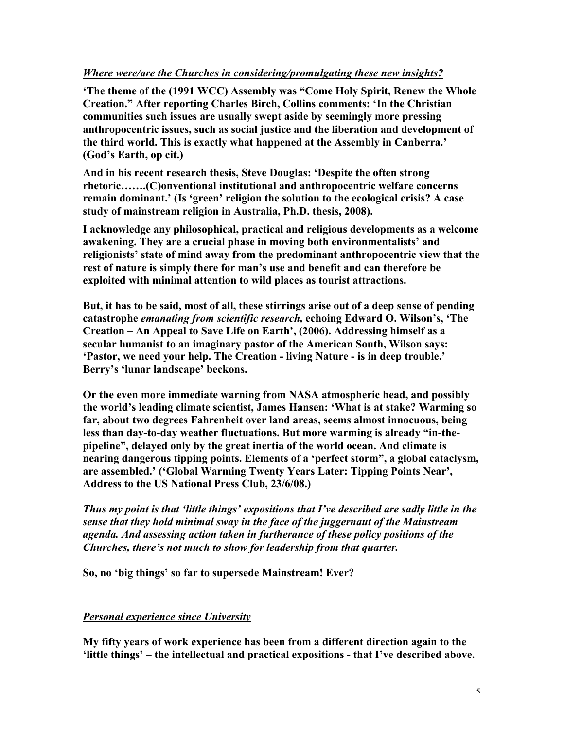# *Where were/are the Churches in considering/promulgating these new insights?*

'The theme of the (1991 WCC) Assembly was "Come Holy Spirit, Renew the Whole Creation." After reporting Charles Birch, Collins comments: 'In the Christian communities such issues are usually swept aside by seemingly more pressing anthropocentric issues, such as social justice and the liberation and development of the third world. This is exactly what happened at the Assembly in Canberra.' (God's Earth, op cit.)

And in his recent research thesis, Steve Douglas: 'Despite the often strong rhetoric…….(C)onventional institutional and anthropocentric welfare concerns remain dominant.' (Is 'green' religion the solution to the ecological crisis? A case study of mainstream religion in Australia, Ph.D. thesis, 2008).

I acknowledge any philosophical, practical and religious developments as a welcome awakening. They are a crucial phase in moving both environmentalists' and religionists' state of mind away from the predominant anthropocentric view that the rest of nature is simply there for man's use and benefit and can therefore be exploited with minimal attention to wild places as tourist attractions.

But, it has to be said, most of all, these stirrings arise out of a deep sense of pending catastrophe *emanating from scientific research,* echoing Edward O. Wilson's, 'The Creation – An Appeal to Save Life on Earth', (2006). Addressing himself as a secular humanist to an imaginary pastor of the American South, Wilson says: 'Pastor, we need your help. The Creation - living Nature - is in deep trouble.' Berry's 'lunar landscape' beckons.

Or the even more immediate warning from NASA atmospheric head, and possibly the world's leading climate scientist, James Hansen: 'What is at stake? Warming so far, about two degrees Fahrenheit over land areas, seems almost innocuous, being less than day-to-day weather fluctuations. But more warming is already "in-thepipeline", delayed only by the great inertia of the world ocean. And climate is nearing dangerous tipping points. Elements of a 'perfect storm", a global cataclysm, are assembled.' ('Global Warming Twenty Years Later: Tipping Points Near', Address to the US National Press Club, 23/6/08.)

*Thus my point is that 'little things' expositions that I've described are sadly little in the sense that they hold minimal sway in the face of the juggernaut of the Mainstream agenda. And assessing action taken in furtherance of these policy positions of the Churches, there's not much to show for leadership from that quarter.*

So, no 'big things' so far to supersede Mainstream! Ever?

# *Personal experience since University*

My fifty years of work experience has been from a different direction again to the 'little things' – the intellectual and practical expositions - that I've described above.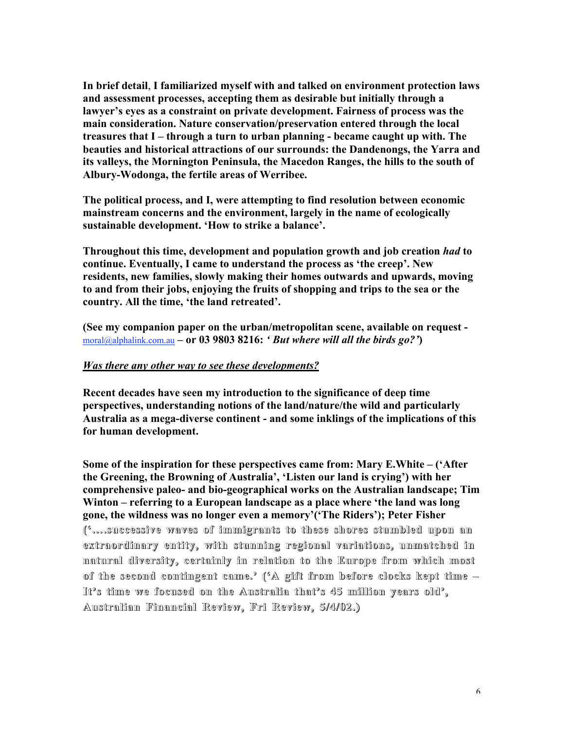In brief detail, I familiarized myself with and talked on environment protection laws and assessment processes, accepting them as desirable but initially through a lawyer's eyes as a constraint on private development. Fairness of process was the main consideration. Nature conservation/preservation entered through the local treasures that I – through a turn to urban planning - became caught up with. The beauties and historical attractions of our surrounds: the Dandenongs, the Yarra and its valleys, the Mornington Peninsula, the Macedon Ranges, the hills to the south of Albury-Wodonga, the fertile areas of Werribee.

The political process, and I, were attempting to find resolution between economic mainstream concerns and the environment, largely in the name of ecologically sustainable development. 'How to strike a balance'.

Throughout this time, development and population growth and job creation *had* to continue. Eventually, I came to understand the process as 'the creep'. New residents, new families, slowly making their homes outwards and upwards, moving to and from their jobs, enjoying the fruits of shopping and trips to the sea or the country. All the time, 'the land retreated'.

(See my companion paper on the urban/metropolitan scene, available on request moral@alphalink.com.au – or 03 9803 8216: *' But where will all the birds go?'*)

### *Was there any other way to see these developments?*

Recent decades have seen my introduction to the significance of deep time perspectives, understanding notions of the land/nature/the wild and particularly Australia as a mega-diverse continent - and some inklings of the implications of this for human development.

Some of the inspiration for these perspectives came from: Mary E.White – ('After the Greening, the Browning of Australia', 'Listen our land is crying') with her comprehensive paleo- and bio-geographical works on the Australian landscape; Tim Winton – referring to a European landscape as a place where 'the land was long gone, the wildness was no longer even a memory'('The Riders'); Peter Fisher ('....successive waves of immigrants to these shores stumbled upon an extraordinary entity, with stunning regional variations, unmatched in natural diversity, certainly in relation to the Europe from which most of the second contingent came. $^{\circ}$  ( $^{\circ}$  A gift from before clocks kept time  $-$ It's time we focused on the Australia that's  $45$  million years old', Australian Australian Financial Financial Review, Review, Fri Review, Review, 5/4/02.) 5/4/02.)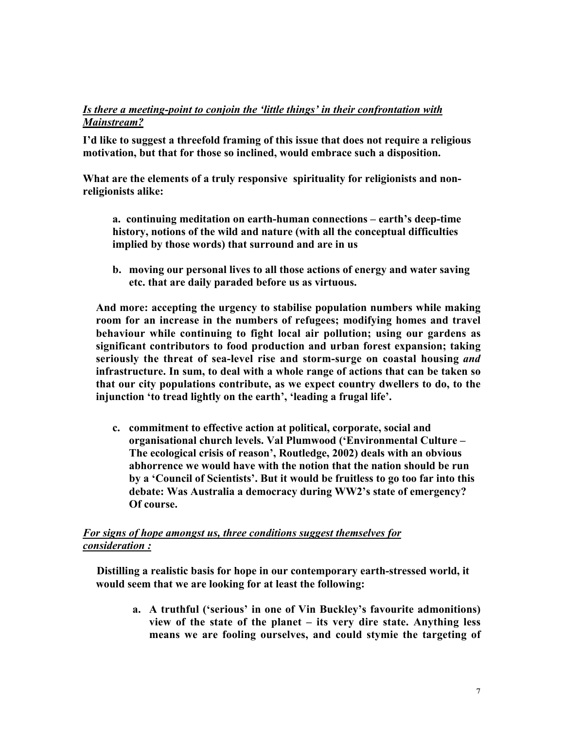# *Is there a meeting-point to conjoin the 'little things' in their confrontation with Mainstream?*

I'd like to suggest a threefold framing of this issue that does not require a religious motivation, but that for those so inclined, would embrace such a disposition.

What are the elements of a truly responsive spirituality for religionists and nonreligionists alike:

a. continuing meditation on earth-human connections – earth's deep-time history, notions of the wild and nature (with all the conceptual difficulties implied by those words) that surround and are in us

b. moving our personal lives to all those actions of energy and water saving etc. that are daily paraded before us as virtuous.

And more: accepting the urgency to stabilise population numbers while making room for an increase in the numbers of refugees; modifying homes and travel behaviour while continuing to fight local air pollution; using our gardens as significant contributors to food production and urban forest expansion; taking seriously the threat of sea-level rise and storm-surge on coastal housing *and* infrastructure. In sum, to deal with a whole range of actions that can be taken so that our city populations contribute, as we expect country dwellers to do, to the injunction 'to tread lightly on the earth', 'leading a frugal life'.

c. commitment to effective action at political, corporate, social and organisational church levels. Val Plumwood ('Environmental Culture – The ecological crisis of reason', Routledge, 2002) deals with an obvious abhorrence we would have with the notion that the nation should be run by a 'Council of Scientists'. But it would be fruitless to go too far into this debate: Was Australia a democracy during WW2's state of emergency? Of course.

# *For signs of hope amongst us, three conditions suggest themselves for consideration :*

 Distilling a realistic basis for hope in our contemporary earth-stressed world, it would seem that we are looking for at least the following:

a. A truthful ('serious' in one of Vin Buckley's favourite admonitions) view of the state of the planet – its very dire state. Anything less means we are fooling ourselves, and could stymie the targeting of